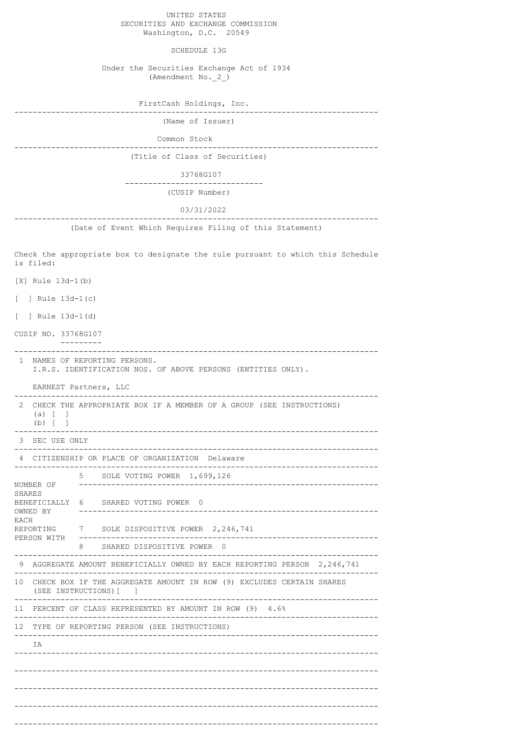UNITED STATES SECURITIES AND EXCHANGE COMMISSION Washington, D.C. 20549

SCHEDULE 13G

 Under the Securities Exchange Act of 1934 (Amendment No.\_2\_)

| FirstCash Holdings, Inc.<br>------------------                                               |  |  |
|----------------------------------------------------------------------------------------------|--|--|
| (Name of Issuer)                                                                             |  |  |
| Common Stock                                                                                 |  |  |
| (Title of Class of Securities)                                                               |  |  |
| 33768G107                                                                                    |  |  |
| (CUSIP Number)                                                                               |  |  |
| 03/31/2022                                                                                   |  |  |
| (Date of Event Which Requires Filing of this Statement)                                      |  |  |
| Check the appropriate box to designate the rule pursuant to which this Schedule<br>is filed: |  |  |
| $[X]$ Rule 13d-1(b)                                                                          |  |  |

[ ] Rule 13d-1(c)

[ ] Rule 13d-1(d)

CUSIP NO. 33768G107

------------------------------------------------------------------------------- 1 NAMES OF REPORTING PERSONS. I.R.S. IDENTIFICATION NOS. OF ABOVE PERSONS (ENTITIES ONLY).

EARNEST Partners, LLC -------------------------------------------------------------------------------

---------

| 2                                                    | $(a)$ [<br>$\overline{\phantom{a}}$<br>(b) [ ]                                                                 | CHECK THE APPROPRIATE BOX IF A MEMBER OF A GROUP (SEE INSTRUCTIONS)      |  |
|------------------------------------------------------|----------------------------------------------------------------------------------------------------------------|--------------------------------------------------------------------------|--|
|                                                      | 3 SEC USE ONLY                                                                                                 |                                                                          |  |
|                                                      | 4 CITIZENSHIP OR PLACE OF ORGANIZATION Delaware                                                                |                                                                          |  |
|                                                      | NUMBER OF                                                                                                      | 5 SOLE VOTING POWER 1,699,126                                            |  |
| <b>SHARES</b>                                        | BENEFICIALLY<br>OWNED BY<br>REPORTING<br>PERSON WITH                                                           | SHARED VOTING POWER 0<br>6                                               |  |
| <b>EACH</b>                                          |                                                                                                                | 7 SOLE DISPOSITIVE POWER 2,246,741                                       |  |
|                                                      |                                                                                                                | SHARED DISPOSITIVE POWER 0<br>8.                                         |  |
|                                                      |                                                                                                                | 9 AGGREGATE AMOUNT BENEFICIALLY OWNED BY EACH REPORTING PERSON 2,246,741 |  |
| 10                                                   | CHECK BOX IF THE AGGREGATE AMOUNT IN ROW (9) EXCLUDES CERTAIN SHARES<br>(SEE INSTRUCTIONS) [<br>$\blacksquare$ |                                                                          |  |
|                                                      | 11 PERCENT OF CLASS REPRESENTED BY AMOUNT IN ROW (9) 4.6%                                                      |                                                                          |  |
| 12 TYPE OF REPORTING PERSON (SEE INSTRUCTIONS)<br>IA |                                                                                                                |                                                                          |  |
|                                                      |                                                                                                                |                                                                          |  |
|                                                      |                                                                                                                |                                                                          |  |
|                                                      |                                                                                                                |                                                                          |  |
|                                                      |                                                                                                                |                                                                          |  |
|                                                      |                                                                                                                |                                                                          |  |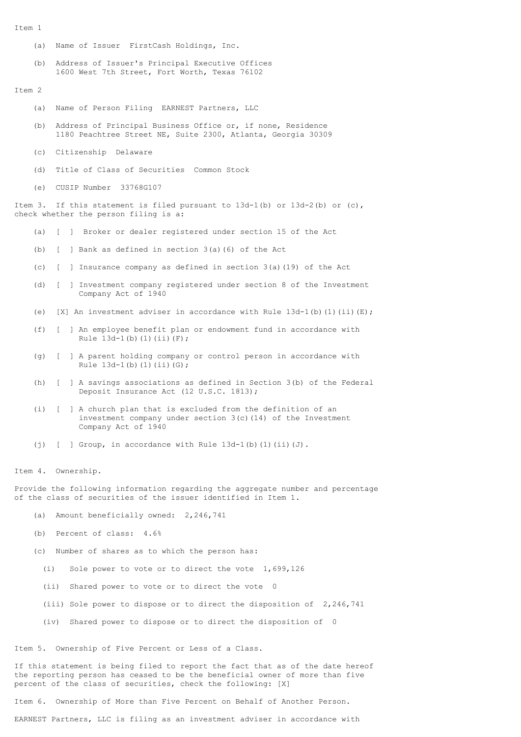```
T+cm 1
```
- (a) Name of Issuer FirstCash Holdings, Inc.
- (b) Address of Issuer's Principal Executive Offices 1600 West 7th Street, Fort Worth, Texas 76102

## Item 2

- (a) Name of Person Filing EARNEST Partners, LLC
- (b) Address of Principal Business Office or, if none, Residence 1180 Peachtree Street NE, Suite 2300, Atlanta, Georgia 30309
- (c) Citizenship Delaware
- (d) Title of Class of Securities Common Stock
- (e) CUSIP Number 33768G107

Item 3. If this statement is filed pursuant to  $13d-1(b)$  or  $13d-2(b)$  or  $(c)$ , check whether the person filing is a:

- (a) [ ] Broker or dealer registered under section 15 of the Act
- (b) [ ] Bank as defined in section 3(a)(6) of the Act
- (c) [ ] Insurance company as defined in section 3(a)(19) of the Act
- (d) [ ] Investment company registered under section 8 of the Investment Company Act of 1940
- (e) [X] An investment adviser in accordance with Rule  $13d-1$ (b)(1)(ii)(E);
- (f) [ ] An employee benefit plan or endowment fund in accordance with Rule  $13d-1(b)(1)(ii)(F);$
- (g) [ ] A parent holding company or control person in accordance with Rule 13d-1(b)(1)(ii)(G);
- (h) [ ] A savings associations as defined in Section 3(b) of the Federal Deposit Insurance Act (12 U.S.C. 1813);
- (i) [ ] A church plan that is excluded from the definition of an investment company under section 3(c)(14) of the Investment Company Act of 1940
- (j)  $[ ]$  Group, in accordance with Rule 13d-1(b)(1)(ii)(J).

Item 4. Ownership.

Provide the following information regarding the aggregate number and percentage of the class of securities of the issuer identified in Item 1.

- (a) Amount beneficially owned: 2,246,741
- (b) Percent of class: 4.6%
- (c) Number of shares as to which the person has:
	- (i) Sole power to vote or to direct the vote 1,699,126
	- (ii) Shared power to vote or to direct the vote 0
	- (iii) Sole power to dispose or to direct the disposition of 2,246,741
	- (iv) Shared power to dispose or to direct the disposition of 0

Item 5. Ownership of Five Percent or Less of a Class.

If this statement is being filed to report the fact that as of the date hereof the reporting person has ceased to be the beneficial owner of more than five percent of the class of securities, check the following: [X]

Item 6. Ownership of More than Five Percent on Behalf of Another Person.

EARNEST Partners, LLC is filing as an investment adviser in accordance with